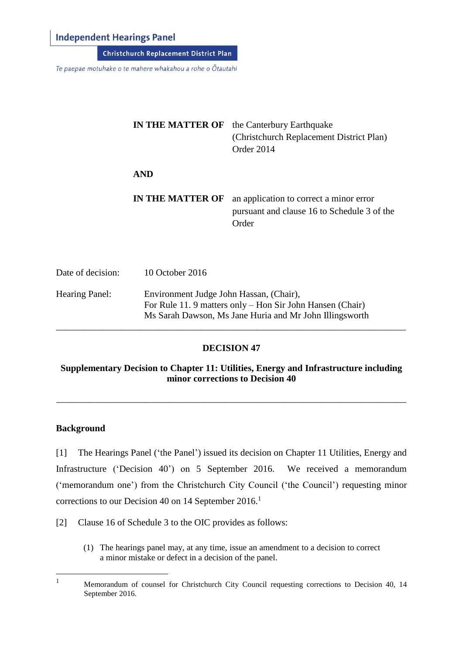#### **Independent Hearings Panel**

**Christchurch Replacement District Plan** 

Te paepae motuhake o te mahere whakahou a rohe o Ōtautahi

|                   | <b>IN THE MATTER OF</b> | the Canterbury Earthquake<br>(Christchurch Replacement District Plan)<br>Order 2014             |
|-------------------|-------------------------|-------------------------------------------------------------------------------------------------|
|                   | <b>AND</b>              |                                                                                                 |
|                   | <b>IN THE MATTER OF</b> | an application to correct a minor error<br>pursuant and clause 16 to Schedule 3 of the<br>Order |
| Date of decision: | 10 October 2016         |                                                                                                 |

Hearing Panel: Environment Judge John Hassan, (Chair), For Rule 11. 9 matters only – Hon Sir John Hansen (Chair) Ms Sarah Dawson, Ms Jane Huria and Mr John Illingsworth \_\_\_\_\_\_\_\_\_\_\_\_\_\_\_\_\_\_\_\_\_\_\_\_\_\_\_\_\_\_\_\_\_\_\_\_\_\_\_\_\_\_\_\_\_\_\_\_\_\_\_\_\_\_\_\_\_\_\_\_\_\_\_\_\_\_\_\_\_\_\_\_\_\_\_

#### **DECISION 47**

#### **Supplementary Decision to Chapter 11: Utilities, Energy and Infrastructure including minor corrections to Decision 40**

\_\_\_\_\_\_\_\_\_\_\_\_\_\_\_\_\_\_\_\_\_\_\_\_\_\_\_\_\_\_\_\_\_\_\_\_\_\_\_\_\_\_\_\_\_\_\_\_\_\_\_\_\_\_\_\_\_\_\_\_\_\_\_\_\_\_\_\_\_\_\_\_\_\_\_

#### **Background**

[1] The Hearings Panel ('the Panel') issued its decision on Chapter 11 Utilities, Energy and Infrastructure ('Decision 40') on 5 September 2016. We received a memorandum ('memorandum one') from the Christchurch City Council ('the Council') requesting minor corrections to our Decision 40 on 14 September 2016.<sup>1</sup>

- [2] Clause 16 of Schedule 3 to the OIC provides as follows:
	- (1) The hearings panel may, at any time, issue an amendment to a decision to correct a minor mistake or defect in a decision of the panel.

 $\mathbf{1}$ <sup>1</sup> Memorandum of counsel for Christchurch City Council requesting corrections to Decision 40, 14 September 2016.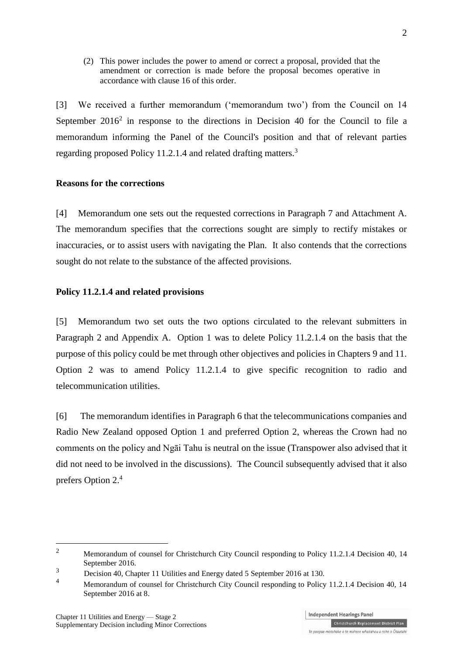(2) This power includes the power to amend or correct a proposal, provided that the amendment or correction is made before the proposal becomes operative in accordance with [clause 16](http://www.legislation.govt.nz/regulation/public/2014/0228/latest/whole.html#DLM6189936) of this order.

[3] We received a further memorandum ('memorandum two') from the Council on 14 September  $2016<sup>2</sup>$  in response to the directions in Decision 40 for the Council to file a memorandum informing the Panel of the Council's position and that of relevant parties regarding proposed Policy 11.2.1.4 and related drafting matters.<sup>3</sup>

#### **Reasons for the corrections**

[4] Memorandum one sets out the requested corrections in Paragraph 7 and Attachment A. The memorandum specifies that the corrections sought are simply to rectify mistakes or inaccuracies, or to assist users with navigating the Plan. It also contends that the corrections sought do not relate to the substance of the affected provisions.

#### **Policy 11.2.1.4 and related provisions**

[5] Memorandum two set outs the two options circulated to the relevant submitters in Paragraph 2 and Appendix A. Option 1 was to delete Policy 11.2.1.4 on the basis that the purpose of this policy could be met through other objectives and policies in Chapters 9 and 11. Option 2 was to amend Policy 11.2.1.4 to give specific recognition to radio and telecommunication utilities.

[6] The memorandum identifies in Paragraph 6 that the telecommunications companies and Radio New Zealand opposed Option 1 and preferred Option 2, whereas the Crown had no comments on the policy and Ngāi Tahu is neutral on the issue (Transpower also advised that it did not need to be involved in the discussions). The Council subsequently advised that it also prefers Option 2.<sup>4</sup>

1

<sup>&</sup>lt;sup>2</sup> Memorandum of counsel for Christchurch City Council responding to Policy 11.2.1.4 Decision 40, 14 September 2016.

<sup>3</sup> Decision 40, Chapter 11 Utilities and Energy dated 5 September 2016 at 130.

<sup>&</sup>lt;sup>4</sup> Memorandum of counsel for Christchurch City Council responding to Policy 11.2.1.4 Decision 40, 14 September 2016 at 8.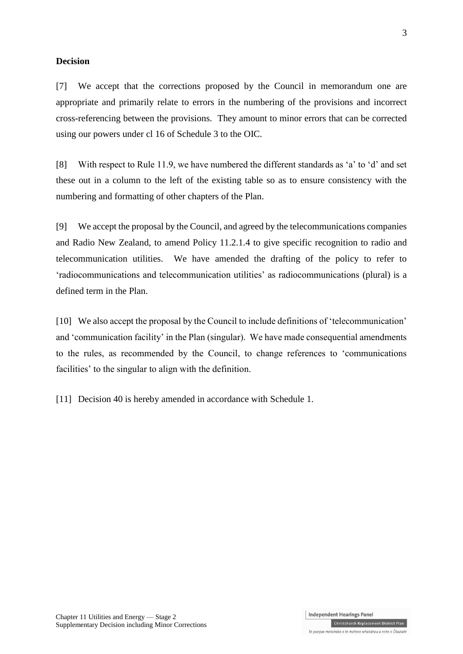#### **Decision**

[7] We accept that the corrections proposed by the Council in memorandum one are appropriate and primarily relate to errors in the numbering of the provisions and incorrect cross-referencing between the provisions. They amount to minor errors that can be corrected using our powers under cl 16 of Schedule 3 to the OIC.

[8] With respect to Rule 11.9, we have numbered the different standards as 'a' to 'd' and set these out in a column to the left of the existing table so as to ensure consistency with the numbering and formatting of other chapters of the Plan.

[9] We accept the proposal by the Council, and agreed by the telecommunications companies and Radio New Zealand, to amend Policy 11.2.1.4 to give specific recognition to radio and telecommunication utilities. We have amended the drafting of the policy to refer to 'radiocommunications and telecommunication utilities' as radiocommunications (plural) is a defined term in the Plan.

[10] We also accept the proposal by the Council to include definitions of 'telecommunication' and 'communication facility' in the Plan (singular). We have made consequential amendments to the rules, as recommended by the Council, to change references to 'communications facilities' to the singular to align with the definition.

[11] Decision 40 is hereby amended in accordance with Schedule 1.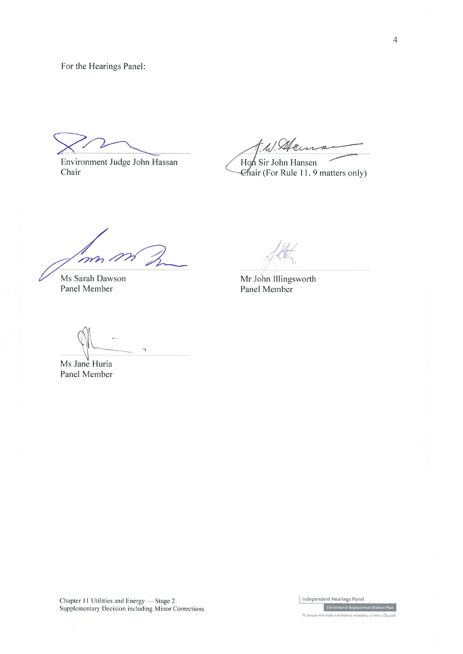For the Hearings Panel:

Environment Judge John Hassan Chair

t. W. Alac Hon Sir John Hansen

Chair (For Rule 11. 9 matters only)

m

Ms Sarah Dawson Panel Member

Mr John Illingsworth Panel Member

 $\overline{a}$ 

Ms Jane Huria Panel Member

Chapter 11 Utilities and Energy - Stage 2 Supplementary Decision including Minor Corrections Independent Hearings Panel Christchurch Replacement District Plan Te paepae motuhake o te mahere whakahou a rohe o Ōtautah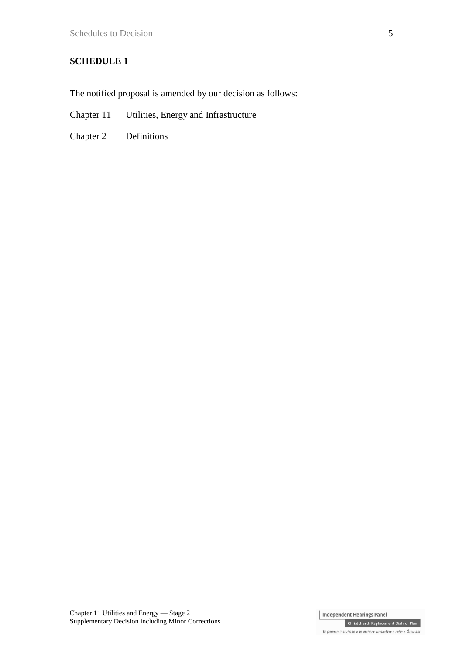#### **SCHEDULE 1**

The notified proposal is amended by our decision as follows:

- Chapter 11 Utilities, Energy and Infrastructure
- Chapter 2 Definitions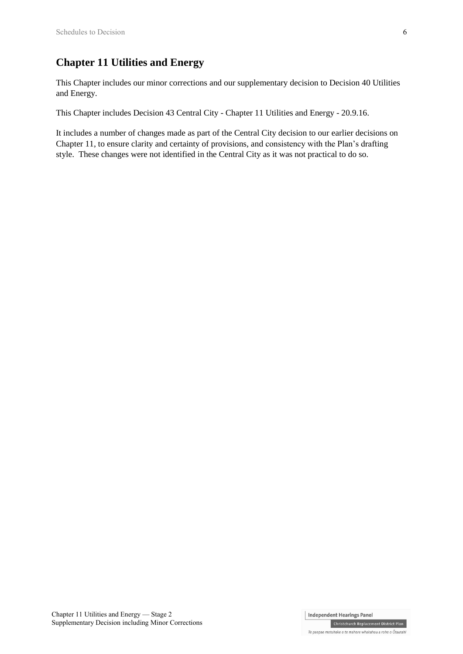### **Chapter 11 Utilities and Energy**

This Chapter includes our minor corrections and our supplementary decision to Decision 40 Utilities and Energy.

This Chapter includes Decision 43 Central City - Chapter 11 Utilities and Energy - 20.9.16.

It includes a number of changes made as part of the Central City decision to our earlier decisions on Chapter 11, to ensure clarity and certainty of provisions, and consistency with the Plan's drafting style. These changes were not identified in the Central City as it was not practical to do so.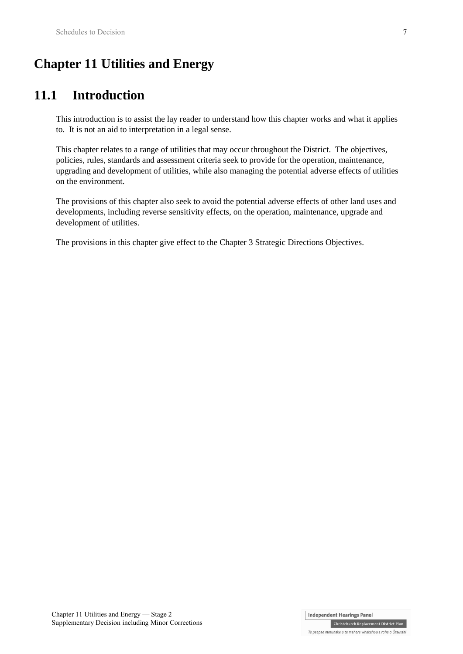# **Chapter 11 Utilities and Energy**

# **11.1 Introduction**

This introduction is to assist the lay reader to understand how this chapter works and what it applies to. It is not an aid to interpretation in a legal sense.

This chapter relates to a range of utilities that may occur throughout the District. The objectives, policies, rules, standards and assessment criteria seek to provide for the operation, maintenance, upgrading and development of utilities, while also managing the potential adverse effects of utilities on the environment.

The provisions of this chapter also seek to avoid the potential adverse effects of other land uses and developments, including reverse sensitivity effects, on the operation, maintenance, upgrade and development of utilities.

The provisions in this chapter give effect to the Chapter 3 Strategic Directions Objectives.

Chapter 11 Utilities and Energy — Stage 2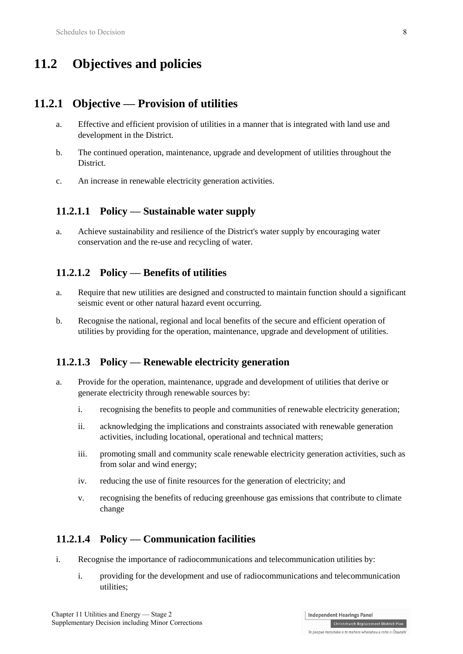# **11.2 Objectives and policies**

### **11.2.1 Objective — Provision of utilities**

- a. Effective and efficient provision of utilities in a manner that is integrated with land use and development in the District.
- b. The continued operation, maintenance, upgrade and development of utilities throughout the District.
- c. An increase in renewable electricity generation activities.

### **11.2.1.1 Policy — Sustainable water supply**

a. Achieve sustainability and resilience of the District's water supply by encouraging water conservation and the re-use and recycling of water.

### **11.2.1.2 Policy — Benefits of utilities**

- a. Require that new utilities are designed and constructed to maintain function should a significant seismic event or other natural hazard event occurring.
- b. Recognise the national, regional and local benefits of the secure and efficient operation of utilities by providing for the operation, maintenance, upgrade and development of utilities.

### **11.2.1.3 Policy — Renewable electricity generation**

- a. Provide for the operation, maintenance, upgrade and development of utilities that derive or generate electricity through renewable sources by:
	- i. recognising the benefits to people and communities of renewable electricity generation;
	- ii. acknowledging the implications and constraints associated with renewable generation activities, including locational, operational and technical matters;
	- iii. promoting small and community scale renewable electricity generation activities, such as from solar and wind energy;
	- iv. reducing the use of finite resources for the generation of electricity; and
	- v. recognising the benefits of reducing greenhouse gas emissions that contribute to climate change

### **11.2.1.4 Policy — Communication facilities**

- i. Recognise the importance of radiocommunications and telecommunication utilities by:
	- i. providing for the development and use of radiocommunications and telecommunication utilities;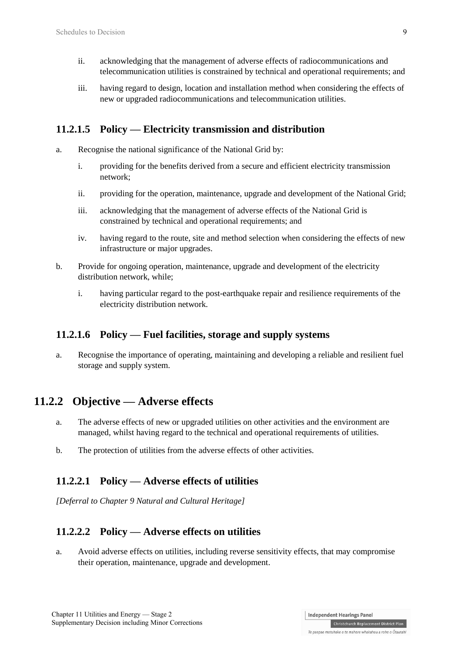- ii. acknowledging that the management of adverse effects of radiocommunications and telecommunication utilities is constrained by technical and operational requirements; and
- iii. having regard to design, location and installation method when considering the effects of new or upgraded radiocommunications and telecommunication utilities.

#### **11.2.1.5 Policy — Electricity transmission and distribution**

- a. Recognise the national significance of the National Grid by:
	- i. providing for the benefits derived from a secure and efficient electricity transmission network;
	- ii. providing for the operation, maintenance, upgrade and development of the National Grid;
	- iii. acknowledging that the management of adverse effects of the National Grid is constrained by technical and operational requirements; and
	- iv. having regard to the route, site and method selection when considering the effects of new infrastructure or major upgrades.
- b. Provide for ongoing operation, maintenance, upgrade and development of the electricity distribution network, while;
	- i. having particular regard to the post-earthquake repair and resilience requirements of the electricity distribution network.

#### **11.2.1.6 Policy — Fuel facilities, storage and supply systems**

a. Recognise the importance of operating, maintaining and developing a reliable and resilient fuel storage and supply system.

### **11.2.2 Objective — Adverse effects**

- a. The adverse effects of new or upgraded utilities on other activities and the environment are managed, whilst having regard to the technical and operational requirements of utilities.
- b. The protection of utilities from the adverse effects of other activities.

#### **11.2.2.1 Policy — Adverse effects of utilities**

*[Deferral to Chapter 9 Natural and Cultural Heritage]*

### **11.2.2.2 Policy — Adverse effects on utilities**

a. Avoid adverse effects on utilities, including reverse sensitivity effects, that may compromise their operation, maintenance, upgrade and development.

**Independent Hearings Panel** 

Te paepae motuhake o te mahere whakahou a rohe o Ōtautahi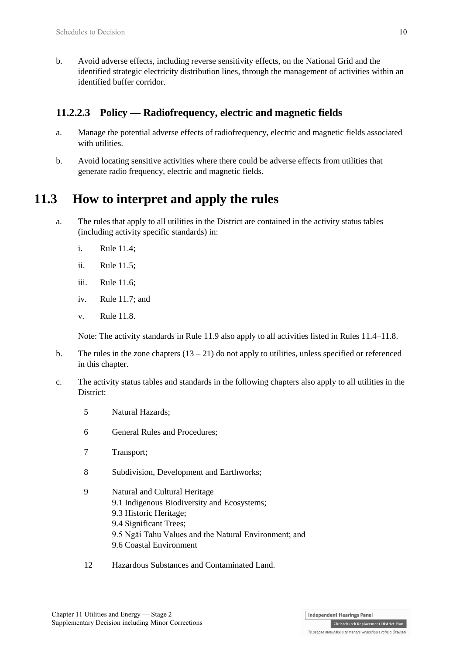b. Avoid adverse effects, including reverse sensitivity effects, on the National Grid and the identified strategic electricity distribution lines, through the management of activities within an identified buffer corridor.

### **11.2.2.3 Policy — Radiofrequency, electric and magnetic fields**

- a. Manage the potential adverse effects of radiofrequency, electric and magnetic fields associated with utilities.
- b. Avoid locating sensitive activities where there could be adverse effects from utilities that generate radio frequency, electric and magnetic fields.

# **11.3 How to interpret and apply the rules**

- a. The rules that apply to all utilities in the District are contained in the activity status tables (including activity specific standards) in:
	- i. Rule 11.4;
	- ii. Rule 11.5;
	- iii. Rule 11.6;
	- iv. Rule 11.7; and
	- v. Rule 11.8.

Note: The activity standards in Rule 11.9 also apply to all activities listed in Rules 11.4–11.8.

- b. The rules in the zone chapters  $(13 21)$  do not apply to utilities, unless specified or referenced in this chapter.
- c. The activity status tables and standards in the following chapters also apply to all utilities in the District:
	- 5 Natural Hazards;
	- 6 General Rules and Procedures;
	- 7 Transport;
	- 8 Subdivision, Development and Earthworks;
	- 9 Natural and Cultural Heritage 9.1 Indigenous Biodiversity and Ecosystems; 9.3 Historic Heritage; 9.4 Significant Trees; 9.5 Ngāi Tahu Values and the Natural Environment; and 9.6 Coastal Environment
	- 12 Hazardous Substances and Contaminated Land.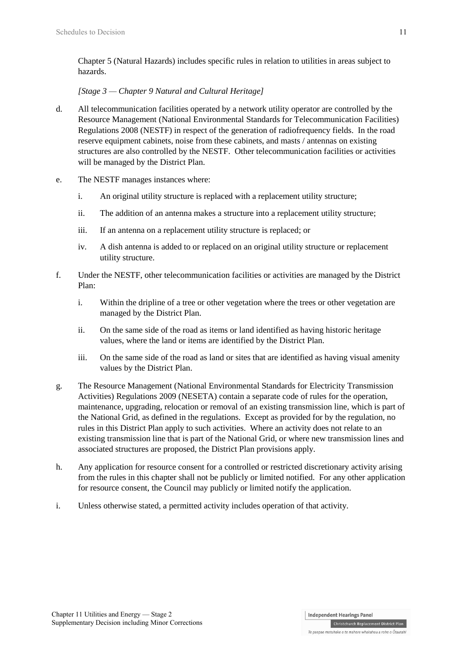Chapter 5 (Natural Hazards) includes specific rules in relation to utilities in areas subject to hazards.

#### *[Stage 3 — Chapter 9 Natural and Cultural Heritage]*

- d. All telecommunication facilities operated by a network utility operator are controlled by the Resource Management (National Environmental Standards for Telecommunication Facilities) Regulations 2008 (NESTF) in respect of the generation of radiofrequency fields. In the road reserve equipment cabinets, noise from these cabinets, and masts / antennas on existing structures are also controlled by the NESTF. Other telecommunication facilities or activities will be managed by the District Plan.
- e. The NESTF manages instances where:
	- i. An original utility structure is replaced with a replacement utility structure;
	- ii. The addition of an antenna makes a structure into a replacement utility structure;
	- iii. If an antenna on a replacement utility structure is replaced; or
	- iv. A dish antenna is added to or replaced on an original utility structure or replacement utility structure.
- f. Under the NESTF, other telecommunication facilities or activities are managed by the District Plan:
	- i. Within the dripline of a tree or other vegetation where the trees or other vegetation are managed by the District Plan.
	- ii. On the same side of the road as items or land identified as having historic heritage values, where the land or items are identified by the District Plan.
	- iii. On the same side of the road as land or sites that are identified as having visual amenity values by the District Plan.
- g. The Resource Management (National Environmental Standards for Electricity Transmission Activities) Regulations 2009 (NESETA) contain a separate code of rules for the operation, maintenance, upgrading, relocation or removal of an existing transmission line, which is part of the National Grid, as defined in the regulations. Except as provided for by the regulation, no rules in this District Plan apply to such activities. Where an activity does not relate to an existing transmission line that is part of the National Grid, or where new transmission lines and associated structures are proposed, the District Plan provisions apply.
- h. Any application for resource consent for a controlled or restricted discretionary activity arising from the rules in this chapter shall not be publicly or limited notified. For any other application for resource consent, the Council may publicly or limited notify the application.
- i. Unless otherwise stated, a permitted activity includes operation of that activity.

**Independent Hearings Panel** 

Te paepae motuhake o te mahere whakahou a rohe o Ōtautahi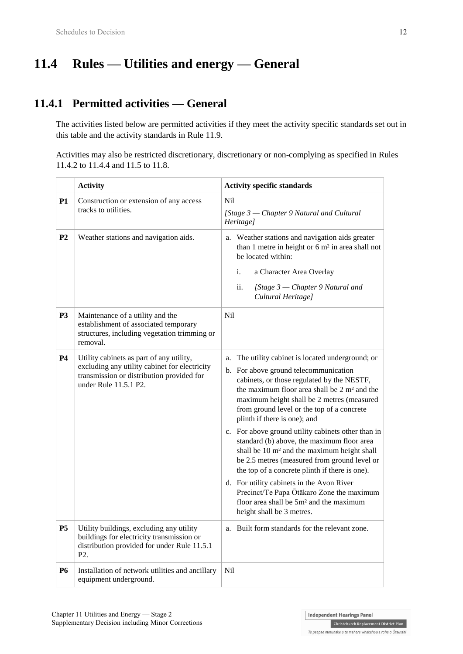# **11.4 Rules — Utilities and energy — General**

## **11.4.1 Permitted activities — General**

The activities listed below are permitted activities if they meet the activity specific standards set out in this table and the activity standards in Rule 11.9.

Activities may also be restricted discretionary, discretionary or non-complying as specified in Rules 11.4.2 to 11.4.4 and 11.5 to 11.8.

|                | <b>Activity</b>                                                                                                                                                 | <b>Activity specific standards</b>                                                                                                                                                                                                                                                                                                                                                                                                                                                                                                                                                                                                                                                                                                                                                 |
|----------------|-----------------------------------------------------------------------------------------------------------------------------------------------------------------|------------------------------------------------------------------------------------------------------------------------------------------------------------------------------------------------------------------------------------------------------------------------------------------------------------------------------------------------------------------------------------------------------------------------------------------------------------------------------------------------------------------------------------------------------------------------------------------------------------------------------------------------------------------------------------------------------------------------------------------------------------------------------------|
| P <sub>1</sub> | Construction or extension of any access<br>tracks to utilities.                                                                                                 | <b>Nil</b><br>[Stage 3 – Chapter 9 Natural and Cultural<br>Heritage]                                                                                                                                                                                                                                                                                                                                                                                                                                                                                                                                                                                                                                                                                                               |
| P <sub>2</sub> | Weather stations and navigation aids.                                                                                                                           | a. Weather stations and navigation aids greater<br>than 1 metre in height or 6 m <sup>2</sup> in area shall not<br>be located within:<br>i.<br>a Character Area Overlay<br>ii.<br>[Stage $3$ – Chapter 9 Natural and<br>Cultural Heritage]                                                                                                                                                                                                                                                                                                                                                                                                                                                                                                                                         |
| <b>P3</b>      | Maintenance of a utility and the<br>establishment of associated temporary<br>structures, including vegetation trimming or<br>removal.                           | Nil                                                                                                                                                                                                                                                                                                                                                                                                                                                                                                                                                                                                                                                                                                                                                                                |
| <b>P4</b>      | Utility cabinets as part of any utility,<br>excluding any utility cabinet for electricity<br>transmission or distribution provided for<br>under Rule 11.5.1 P2. | The utility cabinet is located underground; or<br>a.<br>b. For above ground telecommunication<br>cabinets, or those regulated by the NESTF,<br>the maximum floor area shall be 2 m <sup>2</sup> and the<br>maximum height shall be 2 metres (measured<br>from ground level or the top of a concrete<br>plinth if there is one); and<br>c. For above ground utility cabinets other than in<br>standard (b) above, the maximum floor area<br>shall be 10 m <sup>2</sup> and the maximum height shall<br>be 2.5 metres (measured from ground level or<br>the top of a concrete plinth if there is one).<br>d. For utility cabinets in the Avon River<br>Precinct/Te Papa Ōtākaro Zone the maximum<br>floor area shall be 5m <sup>2</sup> and the maximum<br>height shall be 3 metres. |
| P5             | Utility buildings, excluding any utility<br>buildings for electricity transmission or<br>distribution provided for under Rule 11.5.1<br>P <sub>2</sub> .        | a. Built form standards for the relevant zone.                                                                                                                                                                                                                                                                                                                                                                                                                                                                                                                                                                                                                                                                                                                                     |
| <b>P6</b>      | Installation of network utilities and ancillary<br>equipment underground.                                                                                       | N <sub>il</sub>                                                                                                                                                                                                                                                                                                                                                                                                                                                                                                                                                                                                                                                                                                                                                                    |

**Independent Hearings Panel Christchurch Replacement District Plan**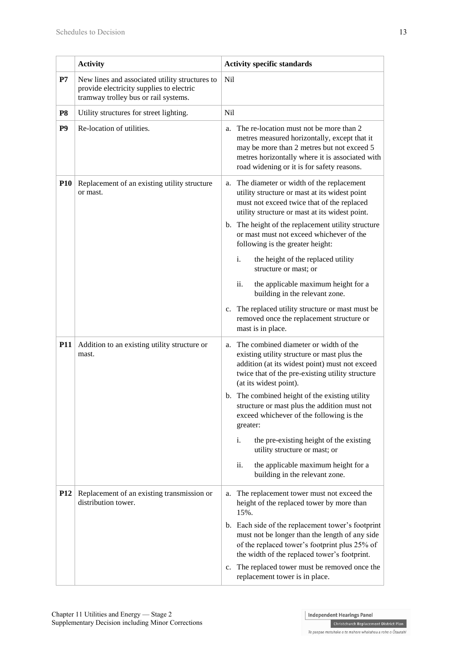|                 | <b>Activity</b>                                                                                                                    | <b>Activity specific standards</b>                                                                                                                                                                                                                                                                                                                                                                                                                                                                                                                                                                                |
|-----------------|------------------------------------------------------------------------------------------------------------------------------------|-------------------------------------------------------------------------------------------------------------------------------------------------------------------------------------------------------------------------------------------------------------------------------------------------------------------------------------------------------------------------------------------------------------------------------------------------------------------------------------------------------------------------------------------------------------------------------------------------------------------|
| $\mathbf{P}7$   | New lines and associated utility structures to<br>provide electricity supplies to electric<br>tramway trolley bus or rail systems. | <b>Nil</b>                                                                                                                                                                                                                                                                                                                                                                                                                                                                                                                                                                                                        |
| P <sub>8</sub>  | Utility structures for street lighting.                                                                                            | <b>Nil</b>                                                                                                                                                                                                                                                                                                                                                                                                                                                                                                                                                                                                        |
| P <sub>9</sub>  | Re-location of utilities.                                                                                                          | The re-location must not be more than 2<br>a.<br>metres measured horizontally, except that it<br>may be more than 2 metres but not exceed 5<br>metres horizontally where it is associated with<br>road widening or it is for safety reasons.                                                                                                                                                                                                                                                                                                                                                                      |
| <b>P10</b>      | Replacement of an existing utility structure<br>or mast.                                                                           | a. The diameter or width of the replacement<br>utility structure or mast at its widest point<br>must not exceed twice that of the replaced<br>utility structure or mast at its widest point.<br>b. The height of the replacement utility structure<br>or mast must not exceed whichever of the<br>following is the greater height:<br>i.<br>the height of the replaced utility<br>structure or mast; or<br>ii.<br>the applicable maximum height for a<br>building in the relevant zone.<br>The replaced utility structure or mast must be<br>c.<br>removed once the replacement structure or<br>mast is in place. |
| <b>P11</b>      | Addition to an existing utility structure or<br>mast.                                                                              | a. The combined diameter or width of the<br>existing utility structure or mast plus the<br>addition (at its widest point) must not exceed<br>twice that of the pre-existing utility structure<br>(at its widest point).<br>b. The combined height of the existing utility<br>structure or mast plus the addition must not<br>exceed whichever of the following is the<br>greater:<br>i.<br>the pre-existing height of the existing<br>utility structure or mast; or<br>the applicable maximum height for a<br>ii.<br>building in the relevant zone.                                                               |
| P <sub>12</sub> | Replacement of an existing transmission or<br>distribution tower.                                                                  | The replacement tower must not exceed the<br>a.<br>height of the replaced tower by more than<br>15%.<br>b. Each side of the replacement tower's footprint<br>must not be longer than the length of any side<br>of the replaced tower's footprint plus 25% of<br>the width of the replaced tower's footprint.<br>The replaced tower must be removed once the<br>c.<br>replacement tower is in place.                                                                                                                                                                                                               |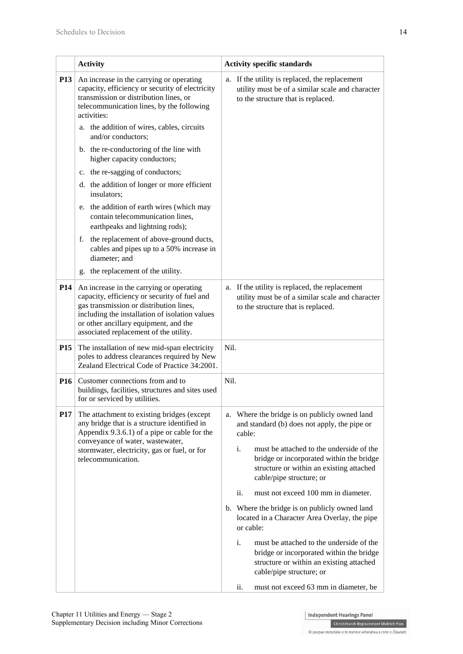|            | <b>Activity</b>                                                                                                                                                                                                                                                          | <b>Activity specific standards</b>                                                                                                                                 |  |  |
|------------|--------------------------------------------------------------------------------------------------------------------------------------------------------------------------------------------------------------------------------------------------------------------------|--------------------------------------------------------------------------------------------------------------------------------------------------------------------|--|--|
| <b>P13</b> | An increase in the carrying or operating<br>capacity, efficiency or security of electricity<br>transmission or distribution lines, or<br>telecommunication lines, by the following<br>activities:                                                                        | a. If the utility is replaced, the replacement<br>utility must be of a similar scale and character<br>to the structure that is replaced.                           |  |  |
|            | a. the addition of wires, cables, circuits<br>and/or conductors;                                                                                                                                                                                                         |                                                                                                                                                                    |  |  |
|            | b. the re-conductoring of the line with<br>higher capacity conductors;                                                                                                                                                                                                   |                                                                                                                                                                    |  |  |
|            | c. the re-sagging of conductors;                                                                                                                                                                                                                                         |                                                                                                                                                                    |  |  |
|            | d. the addition of longer or more efficient<br>insulators;                                                                                                                                                                                                               |                                                                                                                                                                    |  |  |
|            | e. the addition of earth wires (which may<br>contain telecommunication lines,<br>earthpeaks and lightning rods);                                                                                                                                                         |                                                                                                                                                                    |  |  |
|            | the replacement of above-ground ducts,<br>f.<br>cables and pipes up to a 50% increase in<br>diameter; and                                                                                                                                                                |                                                                                                                                                                    |  |  |
|            | the replacement of the utility.<br>g.                                                                                                                                                                                                                                    |                                                                                                                                                                    |  |  |
| <b>P14</b> | An increase in the carrying or operating<br>capacity, efficiency or security of fuel and<br>gas transmission or distribution lines,<br>including the installation of isolation values<br>or other ancillary equipment, and the<br>associated replacement of the utility. | a. If the utility is replaced, the replacement<br>utility must be of a similar scale and character<br>to the structure that is replaced.                           |  |  |
| <b>P15</b> | The installation of new mid-span electricity<br>poles to address clearances required by New<br>Zealand Electrical Code of Practice 34:2001.                                                                                                                              | Nil.                                                                                                                                                               |  |  |
| <b>P16</b> | Customer connections from and to<br>buildings, facilities, structures and sites used<br>for or serviced by utilities.                                                                                                                                                    | Nil.                                                                                                                                                               |  |  |
| <b>P17</b> | The attachment to existing bridges (except<br>any bridge that is a structure identified in<br>Appendix 9.3.6.1) of a pipe or cable for the<br>conveyance of water, wastewater,                                                                                           | Where the bridge is on publicly owned land<br>a.<br>and standard (b) does not apply, the pipe or<br>cable:                                                         |  |  |
|            | stormwater, electricity, gas or fuel, or for<br>telecommunication.                                                                                                                                                                                                       | i.<br>must be attached to the underside of the<br>bridge or incorporated within the bridge<br>structure or within an existing attached<br>cable/pipe structure; or |  |  |
|            |                                                                                                                                                                                                                                                                          | ii.<br>must not exceed 100 mm in diameter.                                                                                                                         |  |  |
|            |                                                                                                                                                                                                                                                                          | b. Where the bridge is on publicly owned land<br>located in a Character Area Overlay, the pipe<br>or cable:                                                        |  |  |
|            |                                                                                                                                                                                                                                                                          | must be attached to the underside of the<br>i.<br>bridge or incorporated within the bridge<br>structure or within an existing attached<br>cable/pipe structure; or |  |  |
|            |                                                                                                                                                                                                                                                                          | must not exceed 63 mm in diameter, be<br>ii.                                                                                                                       |  |  |

Independent Hearings Panel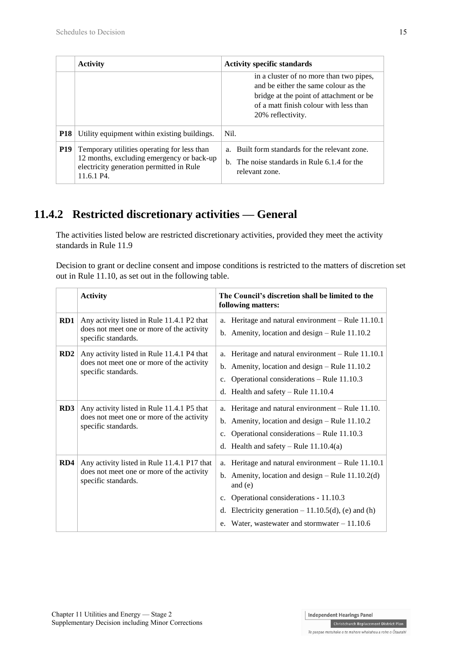|            | <b>Activity</b>                                                                                                                                    | <b>Activity specific standards</b>                                                                                                                                                        |
|------------|----------------------------------------------------------------------------------------------------------------------------------------------------|-------------------------------------------------------------------------------------------------------------------------------------------------------------------------------------------|
|            |                                                                                                                                                    | in a cluster of no more than two pipes,<br>and be either the same colour as the<br>bridge at the point of attachment or be<br>of a matt finish colour with less than<br>20% reflectivity. |
| <b>P18</b> | Utility equipment within existing buildings.                                                                                                       | Nil.                                                                                                                                                                                      |
| <b>P19</b> | Temporary utilities operating for less than<br>12 months, excluding emergency or back-up<br>electricity generation permitted in Rule<br>11.6.1 P4. | Built form standards for the relevant zone.<br>$\mathbf{a}$<br>b. The noise standards in Rule 6.1.4 for the<br>relevant zone.                                                             |

## **11.4.2 Restricted discretionary activities — General**

The activities listed below are restricted discretionary activities, provided they meet the activity standards in Rule 11.9

Decision to grant or decline consent and impose conditions is restricted to the matters of discretion set out in Rule 11.10, as set out in the following table.

|     | <b>Activity</b>                                                                                                 | The Council's discretion shall be limited to the<br>following matters:                                                                                                                                                                                                                 |
|-----|-----------------------------------------------------------------------------------------------------------------|----------------------------------------------------------------------------------------------------------------------------------------------------------------------------------------------------------------------------------------------------------------------------------------|
| RD1 | Any activity listed in Rule 11.4.1 P2 that<br>does not meet one or more of the activity<br>specific standards.  | a. Heritage and natural environment - Rule 11.10.1<br>b. Amenity, location and design $-$ Rule 11.10.2                                                                                                                                                                                 |
| RD2 | Any activity listed in Rule 11.4.1 P4 that<br>does not meet one or more of the activity<br>specific standards.  | a. Heritage and natural environment – Rule 11.10.1<br>b. Amenity, location and design $-$ Rule 11.10.2<br>c. Operational considerations $-$ Rule 11.10.3<br>d. Health and safety $-$ Rule 11.10.4                                                                                      |
| RD3 | Any activity listed in Rule 11.4.1 P5 that<br>does not meet one or more of the activity<br>specific standards.  | a. Heritage and natural environment - Rule 11.10.<br>b. Amenity, location and design - Rule 11.10.2<br>c. Operational considerations - Rule 11.10.3<br>d. Health and safety – Rule $11.10.4(a)$                                                                                        |
| RD4 | Any activity listed in Rule 11.4.1 P17 that<br>does not meet one or more of the activity<br>specific standards. | a. Heritage and natural environment - Rule 11.10.1<br>b. Amenity, location and design $-$ Rule 11.10.2(d)<br>and (e)<br>Operational considerations - 11.10.3<br>$c_{\cdot}$<br>d. Electricity generation $-11.10.5(d)$ , (e) and (h)<br>e. Water, wastewater and stormwater $-11.10.6$ |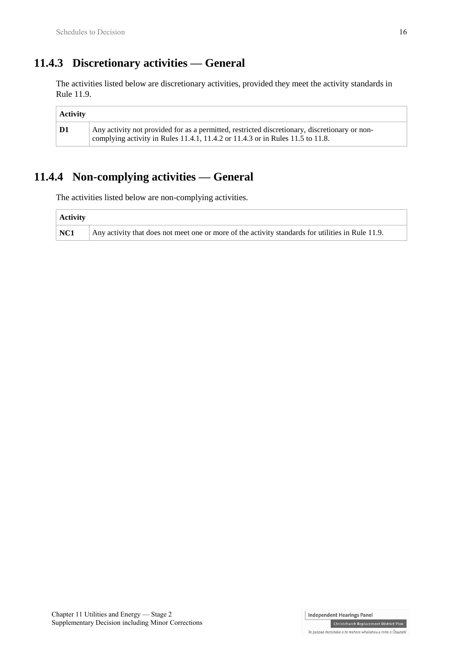## **11.4.3 Discretionary activities — General**

The activities listed below are discretionary activities, provided they meet the activity standards in Rule 11.9.

| Activity      |                                                                                                                                                                                 |
|---------------|---------------------------------------------------------------------------------------------------------------------------------------------------------------------------------|
| $\mathbf{D1}$ | Any activity not provided for as a permitted, restricted discretionary, discretionary or non-<br>complying activity in Rules 11.4.1, 11.4.2 or 11.4.3 or in Rules 11.5 to 11.8. |

## **11.4.4 Non-complying activities — General**

The activities listed below are non-complying activities.

| <b>Activity</b> |                                                                                                   |
|-----------------|---------------------------------------------------------------------------------------------------|
| NC1             | Any activity that does not meet one or more of the activity standards for utilities in Rule 11.9. |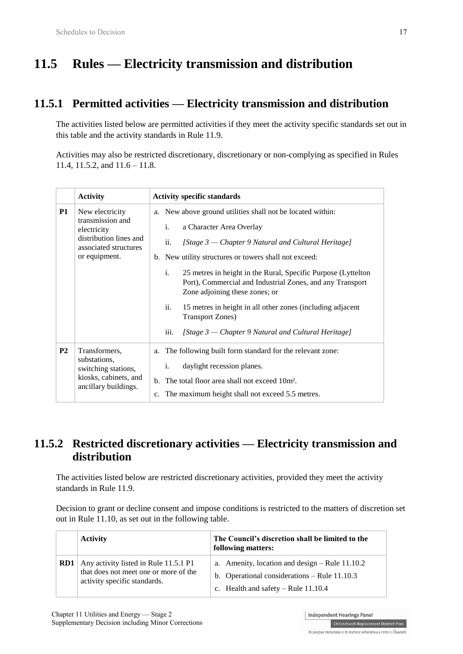# **11.5 Rules — Electricity transmission and distribution**

## **11.5.1 Permitted activities — Electricity transmission and distribution**

The activities listed below are permitted activities if they meet the activity specific standards set out in this table and the activity standards in Rule 11.9.

Activities may also be restricted discretionary, discretionary or non-complying as specified in Rules 11.4, 11.5.2, and 11.6 – 11.8.

|           | <b>Activity</b>                                                                                                        | <b>Activity specific standards</b> |                                                                                                                                                                                                                                                                                                                                                                                                                                                                                             |
|-----------|------------------------------------------------------------------------------------------------------------------------|------------------------------------|---------------------------------------------------------------------------------------------------------------------------------------------------------------------------------------------------------------------------------------------------------------------------------------------------------------------------------------------------------------------------------------------------------------------------------------------------------------------------------------------|
| <b>P1</b> | New electricity<br>transmission and<br>electricity<br>distribution lines and<br>associated structures<br>or equipment. |                                    | a. New above ground utilities shall not be located within:<br>a Character Area Overlay<br>i.<br>ii.<br>[Stage 3 – Chapter 9 Natural and Cultural Heritage]<br>b. New utility structures or towers shall not exceed:<br>i.<br>25 metres in height in the Rural, Specific Purpose (Lyttelton)<br>Port), Commercial and Industrial Zones, and any Transport<br>Zone adjoining these zones; or<br>ii.<br>15 metres in height in all other zones (including adjacent<br><b>Transport Zones</b> ) |
| <b>P2</b> | Transformers,<br>substations,<br>switching stations,<br>kiosks, cabinets, and<br>ancillary buildings.                  | a.                                 | iii.<br>[Stage 3 – Chapter 9 Natural and Cultural Heritage]<br>The following built form standard for the relevant zone:<br>daylight recession planes.<br>i.<br>b. The total floor area shall not exceed 10m <sup>2</sup> .                                                                                                                                                                                                                                                                  |
|           |                                                                                                                        | $c_{\cdot}$                        | The maximum height shall not exceed 5.5 metres.                                                                                                                                                                                                                                                                                                                                                                                                                                             |

## **11.5.2 Restricted discretionary activities — Electricity transmission and distribution**

The activities listed below are restricted discretionary activities, provided they meet the activity standards in Rule 11.9.

Decision to grant or decline consent and impose conditions is restricted to the matters of discretion set out in Rule 11.10, as set out in the following table.

|     | <b>Activity</b>                                                                                                | The Council's discretion shall be limited to the<br>following matters:                                                                      |
|-----|----------------------------------------------------------------------------------------------------------------|---------------------------------------------------------------------------------------------------------------------------------------------|
| RD1 | Any activity listed in Rule 11.5.1 P1<br>that does not meet one or more of the<br>activity specific standards. | a. Amenity, location and design $-$ Rule 11.10.2<br>b. Operational considerations $-$ Rule 11.10.3<br>c. Health and safety $-$ Rule 11.10.4 |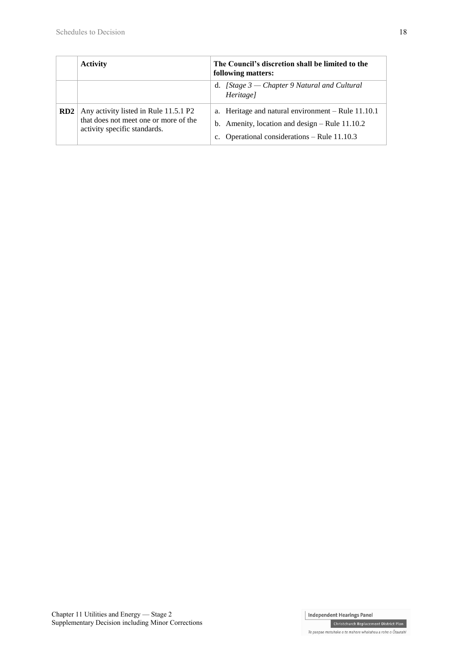|                 | <b>Activity</b>                                                                                                | The Council's discretion shall be limited to the<br>following matters:                                                                              |
|-----------------|----------------------------------------------------------------------------------------------------------------|-----------------------------------------------------------------------------------------------------------------------------------------------------|
|                 |                                                                                                                | d. [Stage $3$ — Chapter 9 Natural and Cultural<br>Heritage]                                                                                         |
| RD <sub>2</sub> | Any activity listed in Rule 11.5.1 P2<br>that does not meet one or more of the<br>activity specific standards. | a. Heritage and natural environment – Rule 11.10.1<br>b. Amenity, location and design $-$ Rule 11.10.2<br>Operational considerations – Rule 11.10.3 |

**Christchurch Replacement District Plan** Te paepae motuhake o te mahere whakahou a rohe o Ōtautahi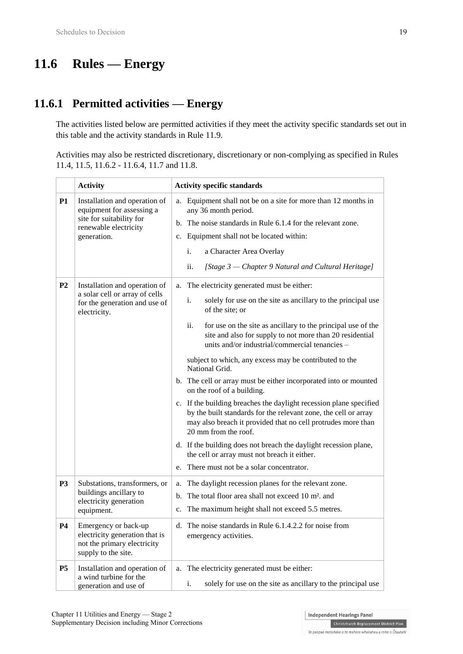# **11.6 Rules — Energy**

## **11.6.1 Permitted activities — Energy**

The activities listed below are permitted activities if they meet the activity specific standards set out in this table and the activity standards in Rule 11.9.

Activities may also be restricted discretionary, discretionary or non-complying as specified in Rules 11.4, 11.5, 11.6.2 - 11.6.4, 11.7 and 11.8.

|                | <b>Activity</b>                                                                                                                | <b>Activity specific standards</b>                                                                                                                                                                                                                                                                                                                                                                                                                                                                                                                                                                                                                                                                                                                                                                                                                                                                                |
|----------------|--------------------------------------------------------------------------------------------------------------------------------|-------------------------------------------------------------------------------------------------------------------------------------------------------------------------------------------------------------------------------------------------------------------------------------------------------------------------------------------------------------------------------------------------------------------------------------------------------------------------------------------------------------------------------------------------------------------------------------------------------------------------------------------------------------------------------------------------------------------------------------------------------------------------------------------------------------------------------------------------------------------------------------------------------------------|
| <b>P1</b>      | Installation and operation of<br>equipment for assessing a<br>site for suitability for<br>renewable electricity<br>generation. | Equipment shall not be on a site for more than 12 months in<br>a.<br>any 36 month period.<br>The noise standards in Rule 6.1.4 for the relevant zone.<br>b.<br>c. Equipment shall not be located within:<br>i.<br>a Character Area Overlay<br>[Stage 3 – Chapter 9 Natural and Cultural Heritage]<br>ii.                                                                                                                                                                                                                                                                                                                                                                                                                                                                                                                                                                                                          |
| P <sub>2</sub> | Installation and operation of<br>a solar cell or array of cells<br>for the generation and use of<br>electricity.               | The electricity generated must be either:<br>a.<br>i.<br>solely for use on the site as ancillary to the principal use<br>of the site; or<br>ii.<br>for use on the site as ancillary to the principal use of the<br>site and also for supply to not more than 20 residential<br>units and/or industrial/commercial tenancies -<br>subject to which, any excess may be contributed to the<br>National Grid.<br>b. The cell or array must be either incorporated into or mounted<br>on the roof of a building.<br>c. If the building breaches the daylight recession plane specified<br>by the built standards for the relevant zone, the cell or array<br>may also breach it provided that no cell protrudes more than<br>20 mm from the roof.<br>d. If the building does not breach the daylight recession plane,<br>the cell or array must not breach it either.<br>There must not be a solar concentrator.<br>e. |
| P <sub>3</sub> | Substations, transformers, or<br>buildings ancillary to<br>electricity generation<br>equipment.                                | The daylight recession planes for the relevant zone.<br>a.<br>The total floor area shall not exceed 10 m <sup>2</sup> , and<br>b.<br>The maximum height shall not exceed 5.5 metres.<br>c.                                                                                                                                                                                                                                                                                                                                                                                                                                                                                                                                                                                                                                                                                                                        |
| P4             | Emergency or back-up<br>electricity generation that is<br>not the primary electricity<br>supply to the site.                   | d. The noise standards in Rule 6.1.4.2.2 for noise from<br>emergency activities.                                                                                                                                                                                                                                                                                                                                                                                                                                                                                                                                                                                                                                                                                                                                                                                                                                  |
| <b>P5</b>      | Installation and operation of<br>a wind turbine for the<br>generation and use of                                               | The electricity generated must be either:<br>a.<br>solely for use on the site as ancillary to the principal use<br>i.                                                                                                                                                                                                                                                                                                                                                                                                                                                                                                                                                                                                                                                                                                                                                                                             |

**Independent Hearings Panel Christchurch Replacement District Plan**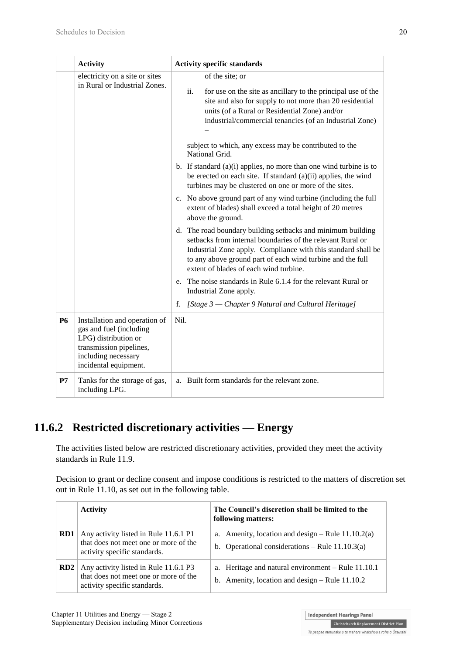|           | <b>Activity</b>                                                                                                                                             | <b>Activity specific standards</b>                                                                                                                                                                                                                                                                                                                                                                                                                                                                                                                                                                                                                                                                                                                                                                                                                                                                                                                                                                                                                                                                   |  |
|-----------|-------------------------------------------------------------------------------------------------------------------------------------------------------------|------------------------------------------------------------------------------------------------------------------------------------------------------------------------------------------------------------------------------------------------------------------------------------------------------------------------------------------------------------------------------------------------------------------------------------------------------------------------------------------------------------------------------------------------------------------------------------------------------------------------------------------------------------------------------------------------------------------------------------------------------------------------------------------------------------------------------------------------------------------------------------------------------------------------------------------------------------------------------------------------------------------------------------------------------------------------------------------------------|--|
|           | electricity on a site or sites<br>in Rural or Industrial Zones.                                                                                             | of the site; or<br>ii.<br>for use on the site as ancillary to the principal use of the<br>site and also for supply to not more than 20 residential<br>units (of a Rural or Residential Zone) and/or<br>industrial/commercial tenancies (of an Industrial Zone)<br>subject to which, any excess may be contributed to the<br>National Grid.<br>b. If standard (a)(i) applies, no more than one wind turbine is to<br>be erected on each site. If standard (a)(ii) applies, the wind<br>turbines may be clustered on one or more of the sites.<br>c. No above ground part of any wind turbine (including the full<br>extent of blades) shall exceed a total height of 20 metres<br>above the ground.<br>d. The road boundary building setbacks and minimum building<br>setbacks from internal boundaries of the relevant Rural or<br>Industrial Zone apply. Compliance with this standard shall be<br>to any above ground part of each wind turbine and the full<br>extent of blades of each wind turbine.<br>e. The noise standards in Rule 6.1.4 for the relevant Rural or<br>Industrial Zone apply. |  |
|           |                                                                                                                                                             | f. [Stage 3 – Chapter 9 Natural and Cultural Heritage]                                                                                                                                                                                                                                                                                                                                                                                                                                                                                                                                                                                                                                                                                                                                                                                                                                                                                                                                                                                                                                               |  |
| <b>P6</b> | Installation and operation of<br>gas and fuel (including<br>LPG) distribution or<br>transmission pipelines,<br>including necessary<br>incidental equipment. | Nil.                                                                                                                                                                                                                                                                                                                                                                                                                                                                                                                                                                                                                                                                                                                                                                                                                                                                                                                                                                                                                                                                                                 |  |
| P7        | Tanks for the storage of gas,<br>including LPG.                                                                                                             | a. Built form standards for the relevant zone.                                                                                                                                                                                                                                                                                                                                                                                                                                                                                                                                                                                                                                                                                                                                                                                                                                                                                                                                                                                                                                                       |  |

## **11.6.2 Restricted discretionary activities — Energy**

The activities listed below are restricted discretionary activities, provided they meet the activity standards in Rule 11.9.

Decision to grant or decline consent and impose conditions is restricted to the matters of discretion set out in Rule 11.10, as set out in the following table.

|                 | <b>Activity</b>                                                                                                | The Council's discretion shall be limited to the<br>following matters:                                   |
|-----------------|----------------------------------------------------------------------------------------------------------------|----------------------------------------------------------------------------------------------------------|
| RD1             | Any activity listed in Rule 11.6.1 P1<br>that does not meet one or more of the<br>activity specific standards. | a. Amenity, location and design $-$ Rule 11.10.2(a)<br>b. Operational considerations – Rule $11.10.3(a)$ |
| RD <sub>2</sub> | Any activity listed in Rule 11.6.1 P3<br>that does not meet one or more of the<br>activity specific standards. | a. Heritage and natural environment $-$ Rule 11.10.1<br>b. Amenity, location and design $-$ Rule 11.10.2 |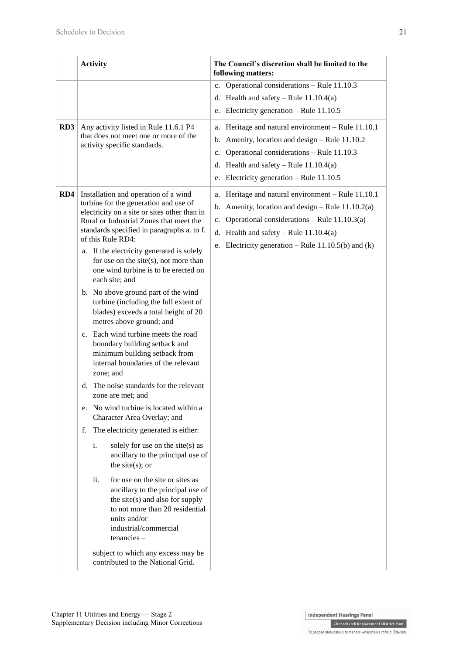|                 | <b>Activity</b>                                                                                                                                                                                                                                                                                                                                                                                                                                                                                                                                                                                                                                                                                                                                                                                                                                                                                                                                                                                                                                                                                                                                                                                                                                | The Council's discretion shall be limited to the<br>following matters:                                                                                                                                                                                                          |
|-----------------|------------------------------------------------------------------------------------------------------------------------------------------------------------------------------------------------------------------------------------------------------------------------------------------------------------------------------------------------------------------------------------------------------------------------------------------------------------------------------------------------------------------------------------------------------------------------------------------------------------------------------------------------------------------------------------------------------------------------------------------------------------------------------------------------------------------------------------------------------------------------------------------------------------------------------------------------------------------------------------------------------------------------------------------------------------------------------------------------------------------------------------------------------------------------------------------------------------------------------------------------|---------------------------------------------------------------------------------------------------------------------------------------------------------------------------------------------------------------------------------------------------------------------------------|
|                 |                                                                                                                                                                                                                                                                                                                                                                                                                                                                                                                                                                                                                                                                                                                                                                                                                                                                                                                                                                                                                                                                                                                                                                                                                                                | c. Operational considerations - Rule 11.10.3<br>d. Health and safety – Rule $11.10.4(a)$<br>e. Electricity generation – Rule $11.10.5$                                                                                                                                          |
| RD <sub>3</sub> | Any activity listed in Rule 11.6.1 P4<br>that does not meet one or more of the<br>activity specific standards.                                                                                                                                                                                                                                                                                                                                                                                                                                                                                                                                                                                                                                                                                                                                                                                                                                                                                                                                                                                                                                                                                                                                 | a. Heritage and natural environment - Rule 11.10.1<br>b. Amenity, location and design $-$ Rule 11.10.2<br>c. Operational considerations - Rule 11.10.3<br>d. Health and safety – Rule $11.10.4(a)$<br>Electricity generation – Rule $11.10.5$<br>e.                             |
| RD4             | Installation and operation of a wind<br>turbine for the generation and use of<br>electricity on a site or sites other than in<br>Rural or Industrial Zones that meet the<br>standards specified in paragraphs a. to f.<br>of this Rule RD4:<br>a. If the electricity generated is solely<br>for use on the site $(s)$ , not more than<br>one wind turbine is to be erected on<br>each site; and<br>b. No above ground part of the wind<br>turbine (including the full extent of<br>blades) exceeds a total height of 20<br>metres above ground; and<br>c. Each wind turbine meets the road<br>boundary building setback and<br>minimum building setback from<br>internal boundaries of the relevant<br>zone; and<br>d. The noise standards for the relevant<br>zone are met; and<br>e. No wind turbine is located within a<br>Character Area Overlay; and<br>The electricity generated is either:<br>f.<br>$\mathbf{i}$ .<br>solely for use on the site(s) as<br>ancillary to the principal use of<br>the site $(s)$ ; or<br>for use on the site or sites as<br>ii.<br>ancillary to the principal use of<br>the site $(s)$ and also for supply<br>to not more than 20 residential<br>units and/or<br>industrial/commercial<br>$t$ enancies $-$ | a. Heritage and natural environment - Rule 11.10.1<br>b. Amenity, location and design $-$ Rule 11.10.2(a)<br>Operational considerations - Rule $11.10.3(a)$<br>$c_{\cdot}$<br>d. Health and safety – Rule $11.10.4(a)$<br>e. Electricity generation – Rule $11.10.5(b)$ and (k) |
|                 | subject to which any excess may be<br>contributed to the National Grid.                                                                                                                                                                                                                                                                                                                                                                                                                                                                                                                                                                                                                                                                                                                                                                                                                                                                                                                                                                                                                                                                                                                                                                        |                                                                                                                                                                                                                                                                                 |

**Christchurch Replacement District Plan** Te paepae motuhake o te mahere whakahou a rohe o Ōtautahi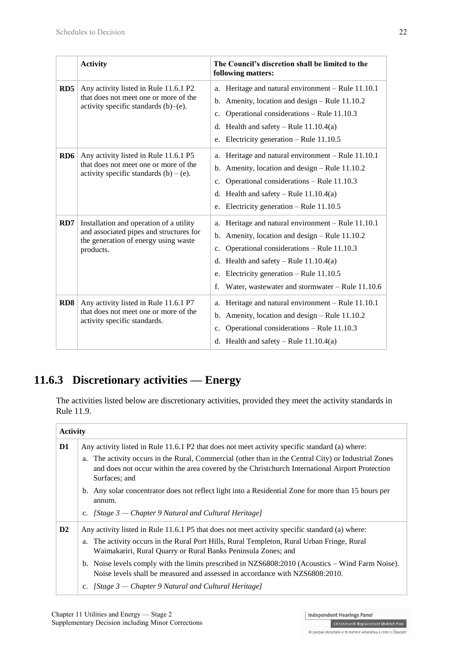|                 | <b>Activity</b>                                                                                                                         | The Council's discretion shall be limited to the<br>following matters:                                                                                                                                                                                                                                                |
|-----------------|-----------------------------------------------------------------------------------------------------------------------------------------|-----------------------------------------------------------------------------------------------------------------------------------------------------------------------------------------------------------------------------------------------------------------------------------------------------------------------|
| RD <sub>5</sub> | Any activity listed in Rule 11.6.1 P2<br>that does not meet one or more of the<br>activity specific standards $(b)$ – $(e)$ .           | Heritage and natural environment - Rule 11.10.1<br>a.<br>Amenity, location and design – Rule 11.10.2<br>b.<br>Operational considerations - Rule 11.10.3<br>$C_{\bullet}$<br>Health and safety – Rule $11.10.4(a)$<br>d.<br>Electricity generation - Rule 11.10.5<br>e.                                                |
| RD <sub>6</sub> | Any activity listed in Rule 11.6.1 P5<br>that does not meet one or more of the<br>activity specific standards $(b) - (e)$ .             | Heritage and natural environment - Rule 11.10.1<br>a.<br>Amenity, location and design - Rule 11.10.2<br>b.<br>Operational considerations - Rule 11.10.3<br>c.<br>Health and safety – Rule $11.10.4(a)$<br>d.<br>Electricity generation – Rule $11.10.5$<br>e.                                                         |
| RD7             | Installation and operation of a utility<br>and associated pipes and structures for<br>the generation of energy using waste<br>products. | Heritage and natural environment - Rule 11.10.1<br>a.<br>b. Amenity, location and design $-$ Rule 11.10.2<br>Operational considerations - Rule 11.10.3<br>c.<br>Health and safety – Rule $11.10.4(a)$<br>d.<br>Electricity generation – Rule $11.10.5$<br>e.<br>f.<br>Water, wastewater and stormwater - Rule 11.10.6 |
| RD <sub>8</sub> | Any activity listed in Rule 11.6.1 P7<br>that does not meet one or more of the<br>activity specific standards.                          | Heritage and natural environment - Rule 11.10.1<br>a.<br>Amenity, location and design – Rule 11.10.2<br>$\mathbf b$ .<br>Operational considerations - Rule 11.10.3<br>c.<br>d. Health and safety – Rule $11.10.4(a)$                                                                                                  |

## **11.6.3 Discretionary activities — Energy**

The activities listed below are discretionary activities, provided they meet the activity standards in Rule 11.9.

### **Activity D1** Any activity listed in Rule 11.6.1 P2 that does not meet activity specific standard (a) where: a. The activity occurs in the Rural, Commercial (other than in the Central City) or Industrial Zones and does not occur within the area covered by the Christchurch International Airport Protection Surfaces; and b. Any solar concentrator does not reflect light into a Residential Zone for more than 15 hours per annum. c. *[Stage 3 — Chapter 9 Natural and Cultural Heritage]* **D2** Any activity listed in Rule 11.6.1 P5 that does not meet activity specific standard (a) where: a. The activity occurs in the Rural Port Hills, Rural Templeton, Rural Urban Fringe, Rural Waimakariri, Rural Quarry or Rural Banks Peninsula Zones; and b. Noise levels comply with the limits prescribed in NZS6808:2010 (Acoustics – Wind Farm Noise). Noise levels shall be measured and assessed in accordance with NZS6808:2010. c. *[Stage 3 — Chapter 9 Natural and Cultural Heritage]*

**Independent Hearings Panel** 

Te paepae motuhake o te mahere whakahou a rohe o Ōtautahi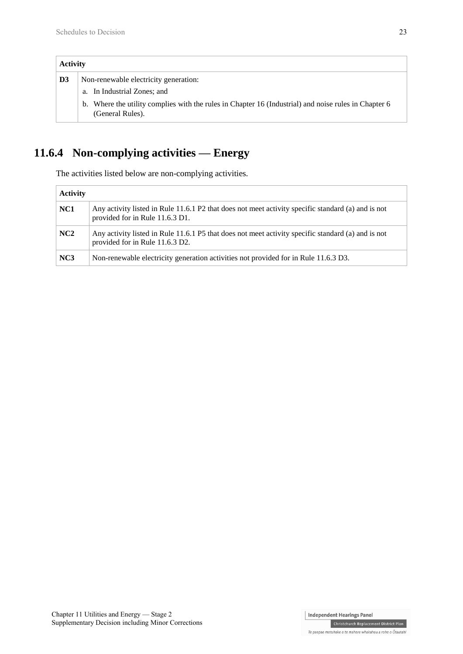| <b>Activity</b> |                                                                                                                             |
|-----------------|-----------------------------------------------------------------------------------------------------------------------------|
| D <sub>3</sub>  | Non-renewable electricity generation:                                                                                       |
|                 | a. In Industrial Zones; and                                                                                                 |
|                 | Where the utility complies with the rules in Chapter 16 (Industrial) and noise rules in Chapter 6<br>b.<br>(General Rules). |

# **11.6.4 Non-complying activities — Energy**

The activities listed below are non-complying activities.

| <b>Activity</b> |                                                                                                                                       |  |
|-----------------|---------------------------------------------------------------------------------------------------------------------------------------|--|
| NC <sub>1</sub> | Any activity listed in Rule 11.6.1 P2 that does not meet activity specific standard (a) and is not<br>provided for in Rule 11.6.3 D1. |  |
| NC <sub>2</sub> | Any activity listed in Rule 11.6.1 P5 that does not meet activity specific standard (a) and is not<br>provided for in Rule 11.6.3 D2. |  |
| NC3             | Non-renewable electricity generation activities not provided for in Rule 11.6.3 D3.                                                   |  |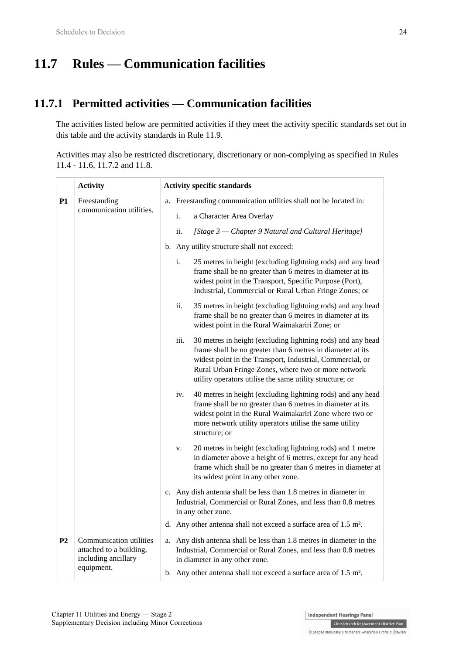# **11.7 Rules — Communication facilities**

## **11.7.1 Permitted activities — Communication facilities**

The activities listed below are permitted activities if they meet the activity specific standards set out in this table and the activity standards in Rule 11.9.

Activities may also be restricted discretionary, discretionary or non-complying as specified in Rules 11.4 - 11.6, 11.7.2 and 11.8.

|                | <b>Activity</b>                                                           | <b>Activity specific standards</b>                                           |                                                                                                                                                                                                                                                                                                                   |
|----------------|---------------------------------------------------------------------------|------------------------------------------------------------------------------|-------------------------------------------------------------------------------------------------------------------------------------------------------------------------------------------------------------------------------------------------------------------------------------------------------------------|
| <b>P1</b>      | Freestanding                                                              |                                                                              | a. Freestanding communication utilities shall not be located in:                                                                                                                                                                                                                                                  |
|                | communication utilities.                                                  |                                                                              | i.<br>a Character Area Overlay                                                                                                                                                                                                                                                                                    |
|                |                                                                           |                                                                              | ii.<br>[Stage 3 – Chapter 9 Natural and Cultural Heritage]                                                                                                                                                                                                                                                        |
|                |                                                                           |                                                                              | b. Any utility structure shall not exceed:                                                                                                                                                                                                                                                                        |
|                |                                                                           |                                                                              | i.<br>25 metres in height (excluding lightning rods) and any head<br>frame shall be no greater than 6 metres in diameter at its<br>widest point in the Transport, Specific Purpose (Port),<br>Industrial, Commercial or Rural Urban Fringe Zones; or                                                              |
|                |                                                                           |                                                                              | ii.<br>35 metres in height (excluding lightning rods) and any head<br>frame shall be no greater than 6 metres in diameter at its<br>widest point in the Rural Waimakariri Zone; or                                                                                                                                |
|                |                                                                           |                                                                              | 30 metres in height (excluding lightning rods) and any head<br>iii.<br>frame shall be no greater than 6 metres in diameter at its<br>widest point in the Transport, Industrial, Commercial, or<br>Rural Urban Fringe Zones, where two or more network<br>utility operators utilise the same utility structure; or |
|                |                                                                           |                                                                              | 40 metres in height (excluding lightning rods) and any head<br>iv.<br>frame shall be no greater than 6 metres in diameter at its<br>widest point in the Rural Waimakariri Zone where two or<br>more network utility operators utilise the same utility<br>structure; or                                           |
|                |                                                                           |                                                                              | 20 metres in height (excluding lightning rods) and 1 metre<br>v.<br>in diameter above a height of 6 metres, except for any head<br>frame which shall be no greater than 6 metres in diameter at<br>its widest point in any other zone.                                                                            |
|                |                                                                           |                                                                              | c. Any dish antenna shall be less than 1.8 metres in diameter in<br>Industrial, Commercial or Rural Zones, and less than 0.8 metres<br>in any other zone.                                                                                                                                                         |
|                |                                                                           |                                                                              | d. Any other antenna shall not exceed a surface area of 1.5 m <sup>2</sup> .                                                                                                                                                                                                                                      |
| P <sub>2</sub> | Communication utilities<br>attached to a building,<br>including ancillary |                                                                              | a. Any dish antenna shall be less than 1.8 metres in diameter in the<br>Industrial, Commercial or Rural Zones, and less than 0.8 metres<br>in diameter in any other zone.                                                                                                                                         |
| equipment.     |                                                                           | b. Any other antenna shall not exceed a surface area of 1.5 m <sup>2</sup> . |                                                                                                                                                                                                                                                                                                                   |

**Independent Hearings Panel**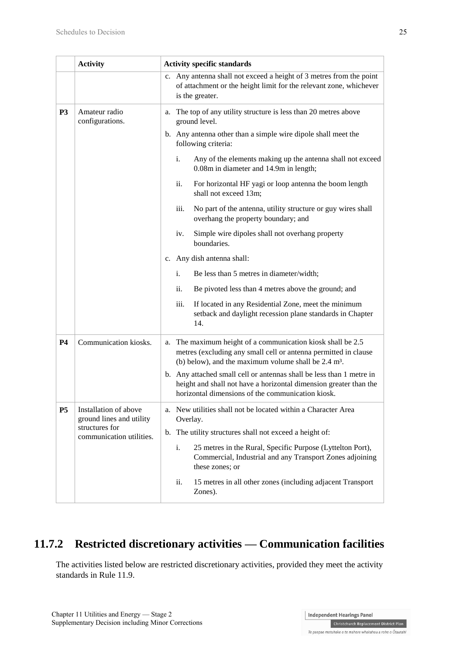|           | <b>Activity</b>                                   | <b>Activity specific standards</b>                                                                                                                                                                |  |
|-----------|---------------------------------------------------|---------------------------------------------------------------------------------------------------------------------------------------------------------------------------------------------------|--|
|           |                                                   | Any antenna shall not exceed a height of 3 metres from the point<br>$c_{\cdot}$<br>of attachment or the height limit for the relevant zone, whichever<br>is the greater.                          |  |
| <b>P3</b> | Amateur radio<br>configurations.                  | The top of any utility structure is less than 20 metres above<br>a.<br>ground level.                                                                                                              |  |
|           |                                                   | b. Any antenna other than a simple wire dipole shall meet the<br>following criteria:                                                                                                              |  |
|           |                                                   | Any of the elements making up the antenna shall not exceed<br>i.<br>0.08m in diameter and 14.9m in length;                                                                                        |  |
|           |                                                   | ii.<br>For horizontal HF yagi or loop antenna the boom length<br>shall not exceed 13m;                                                                                                            |  |
|           |                                                   | iii.<br>No part of the antenna, utility structure or guy wires shall<br>overhang the property boundary; and                                                                                       |  |
|           |                                                   | Simple wire dipoles shall not overhang property<br>iv.<br>boundaries.                                                                                                                             |  |
|           |                                                   | c. Any dish antenna shall:                                                                                                                                                                        |  |
|           |                                                   | i.<br>Be less than 5 metres in diameter/width;                                                                                                                                                    |  |
|           |                                                   | ii.<br>Be pivoted less than 4 metres above the ground; and                                                                                                                                        |  |
|           |                                                   | If located in any Residential Zone, meet the minimum<br>iii.<br>setback and daylight recession plane standards in Chapter<br>14.                                                                  |  |
| <b>P4</b> | Communication kiosks.                             | a. The maximum height of a communication kiosk shall be 2.5<br>metres (excluding any small cell or antenna permitted in clause<br>(b) below), and the maximum volume shall be $2.4 \text{ m}^3$ . |  |
|           |                                                   | b. Any attached small cell or antennas shall be less than 1 metre in<br>height and shall not have a horizontal dimension greater than the<br>horizontal dimensions of the communication kiosk.    |  |
| <b>P5</b> | Installation of above<br>ground lines and utility | a. New utilities shall not be located within a Character Area<br>Overlay.                                                                                                                         |  |
|           | structures for<br>communication utilities.        | b. The utility structures shall not exceed a height of:                                                                                                                                           |  |
|           |                                                   | i.<br>25 metres in the Rural, Specific Purpose (Lyttelton Port),<br>Commercial, Industrial and any Transport Zones adjoining<br>these zones; or                                                   |  |
|           |                                                   | ii.<br>15 metres in all other zones (including adjacent Transport<br>Zones).                                                                                                                      |  |

## **11.7.2 Restricted discretionary activities — Communication facilities**

The activities listed below are restricted discretionary activities, provided they meet the activity standards in Rule 11.9.

**Independent Hearings Panel** Christchurch Replacement District Plan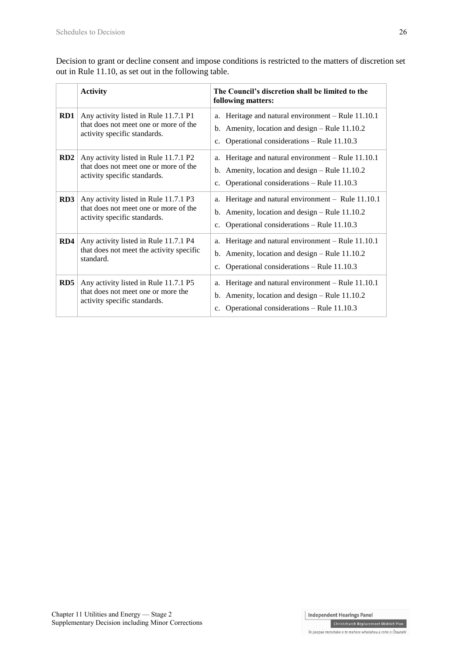Decision to grant or decline consent and impose conditions is restricted to the matters of discretion set out in Rule 11.10, as set out in the following table.

|     | <b>Activity</b>                                                                                                | The Council's discretion shall be limited to the<br>following matters:                                                                                                            |
|-----|----------------------------------------------------------------------------------------------------------------|-----------------------------------------------------------------------------------------------------------------------------------------------------------------------------------|
| RD1 | Any activity listed in Rule 11.7.1 P1<br>that does not meet one or more of the<br>activity specific standards. | Heritage and natural environment - Rule 11.10.1<br>a.<br>b. Amenity, location and design $-$ Rule 11.10.2<br>Operational considerations - Rule 11.10.3<br>$c_{\cdot}$             |
| RD2 | Any activity listed in Rule 11.7.1 P2<br>that does not meet one or more of the<br>activity specific standards. | Heritage and natural environment – Rule 11.10.1<br>a.<br>b. Amenity, location and design $-$ Rule 11.10.2<br>Operational considerations – Rule 11.10.3<br>$c_{\cdot}$             |
| RD3 | Any activity listed in Rule 11.7.1 P3<br>that does not meet one or more of the<br>activity specific standards. | Heritage and natural environment - Rule 11.10.1<br>a.<br>Amenity, location and design – Rule 11.10.2<br>b.<br>Operational considerations - Rule 11.10.3<br>c.                     |
| RD4 | Any activity listed in Rule 11.7.1 P4<br>that does not meet the activity specific<br>standard.                 | Heritage and natural environment - Rule 11.10.1<br>a.<br>Amenity, location and design – Rule 11.10.2<br>$\mathbf{b}$ .<br>Operational considerations – Rule 11.10.3<br>c.         |
| RD5 | Any activity listed in Rule 11.7.1 P5<br>that does not meet one or more the<br>activity specific standards.    | Heritage and natural environment - Rule 11.10.1<br>a.<br>Amenity, location and design – Rule 11.10.2<br>$\mathbf b$ .<br>Operational considerations - Rule 11.10.3<br>$c_{\cdot}$ |

**Independent Hearings Panel** 

Christchurch Replacement District Plan Te paepae motuhake o te mahere whakahou a rohe o Ōtautahi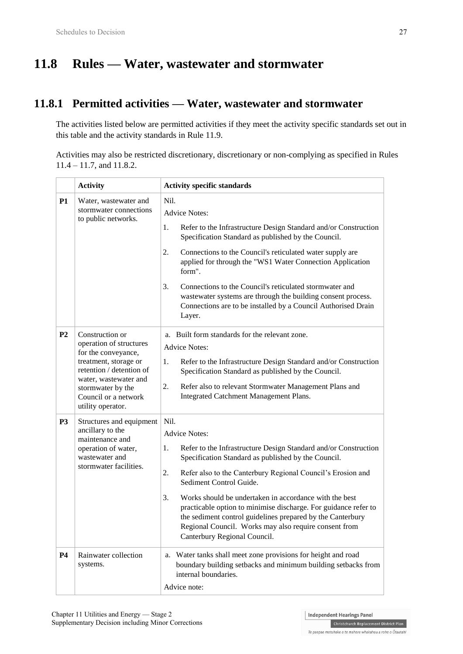# **11.8 Rules — Water, wastewater and stormwater**

## **11.8.1 Permitted activities — Water, wastewater and stormwater**

The activities listed below are permitted activities if they meet the activity specific standards set out in this table and the activity standards in Rule 11.9.

Activities may also be restricted discretionary, discretionary or non-complying as specified in Rules 11.4 – 11.7, and 11.8.2.

|                | <b>Activity</b>                                                                                                                                                                                                   | <b>Activity specific standards</b>                                                                                                                                                                                                                                                                                                                                                                                                                                                                                                                     |  |
|----------------|-------------------------------------------------------------------------------------------------------------------------------------------------------------------------------------------------------------------|--------------------------------------------------------------------------------------------------------------------------------------------------------------------------------------------------------------------------------------------------------------------------------------------------------------------------------------------------------------------------------------------------------------------------------------------------------------------------------------------------------------------------------------------------------|--|
| P1             | Water, wastewater and<br>stormwater connections<br>to public networks.                                                                                                                                            | Nil.<br><b>Advice Notes:</b><br>1.                                                                                                                                                                                                                                                                                                                                                                                                                                                                                                                     |  |
|                |                                                                                                                                                                                                                   | Refer to the Infrastructure Design Standard and/or Construction<br>Specification Standard as published by the Council.                                                                                                                                                                                                                                                                                                                                                                                                                                 |  |
|                |                                                                                                                                                                                                                   | Connections to the Council's reticulated water supply are<br>2.<br>applied for through the "WS1 Water Connection Application<br>form".                                                                                                                                                                                                                                                                                                                                                                                                                 |  |
|                |                                                                                                                                                                                                                   | Connections to the Council's reticulated stormwater and<br>3.<br>wastewater systems are through the building consent process.<br>Connections are to be installed by a Council Authorised Drain<br>Layer.                                                                                                                                                                                                                                                                                                                                               |  |
| P <sub>2</sub> | Construction or<br>operation of structures<br>for the conveyance,<br>treatment, storage or<br>retention / detention of<br>water, wastewater and<br>stormwater by the<br>Council or a network<br>utility operator. | a. Built form standards for the relevant zone.<br><b>Advice Notes:</b><br>Refer to the Infrastructure Design Standard and/or Construction<br>1.<br>Specification Standard as published by the Council.<br>2.<br>Refer also to relevant Stormwater Management Plans and<br>Integrated Catchment Management Plans.                                                                                                                                                                                                                                       |  |
| P <sub>3</sub> | Structures and equipment<br>ancillary to the<br>maintenance and<br>operation of water,<br>wastewater and<br>stormwater facilities.                                                                                | Nil.<br><b>Advice Notes:</b><br>Refer to the Infrastructure Design Standard and/or Construction<br>1.<br>Specification Standard as published by the Council.<br>2.<br>Refer also to the Canterbury Regional Council's Erosion and<br>Sediment Control Guide.<br>Works should be undertaken in accordance with the best<br>3.<br>practicable option to minimise discharge. For guidance refer to<br>the sediment control guidelines prepared by the Canterbury<br>Regional Council. Works may also require consent from<br>Canterbury Regional Council. |  |
| <b>P4</b>      | Rainwater collection<br>systems.                                                                                                                                                                                  | a. Water tanks shall meet zone provisions for height and road<br>boundary building setbacks and minimum building setbacks from<br>internal boundaries.<br>Advice note:                                                                                                                                                                                                                                                                                                                                                                                 |  |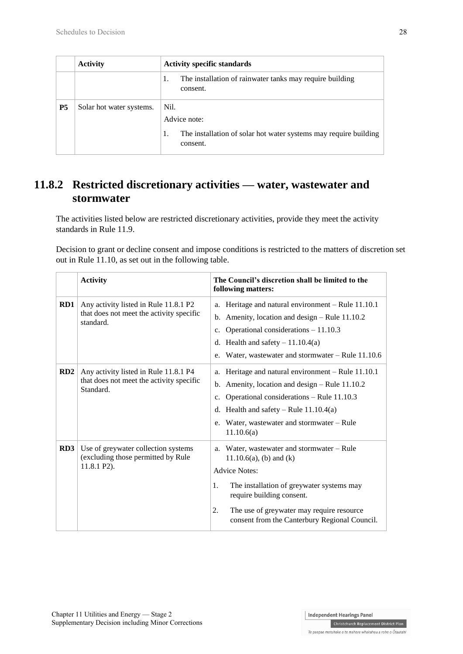|           | <b>Activity</b>          | <b>Activity specific standards</b>                                                                         |
|-----------|--------------------------|------------------------------------------------------------------------------------------------------------|
|           |                          | The installation of rainwater tanks may require building<br>1.<br>consent.                                 |
| <b>P5</b> | Solar hot water systems. | Nil.<br>Advice note:<br>The installation of solar hot water systems may require building<br>1.<br>consent. |

## **11.8.2 Restricted discretionary activities — water, wastewater and stormwater**

The activities listed below are restricted discretionary activities, provide they meet the activity standards in Rule 11.9.

Decision to grant or decline consent and impose conditions is restricted to the matters of discretion set out in Rule 11.10, as set out in the following table.

|     | <b>Activity</b>                                                                                | The Council's discretion shall be limited to the<br>following matters:                                                                                                                                                                                                                  |
|-----|------------------------------------------------------------------------------------------------|-----------------------------------------------------------------------------------------------------------------------------------------------------------------------------------------------------------------------------------------------------------------------------------------|
| RD1 | Any activity listed in Rule 11.8.1 P2<br>that does not meet the activity specific<br>standard. | a. Heritage and natural environment - Rule 11.10.1<br>Amenity, location and design – Rule 11.10.2<br>$\mathbf{b}$ .<br>Operational considerations $-11.10.3$<br>c.<br>d. Health and safety $-11.10.4(a)$<br>Water, was tewater and stormwater $-$ Rule 11.10.6<br>e.                    |
| RD2 | Any activity listed in Rule 11.8.1 P4<br>that does not meet the activity specific<br>Standard. | a. Heritage and natural environment - Rule 11.10.1<br>b. Amenity, location and design $-$ Rule 11.10.2<br>Operational considerations - Rule 11.10.3<br>c.<br>Health and safety – Rule $11.10.4(a)$<br>d.<br>Water, wastewater and stormwater – Rule<br>e.<br>11.10.6(a)                 |
| RD3 | Use of greywater collection systems<br>(excluding those permitted by Rule<br>$11.8.1 P2$ ).    | Water, wastewater and stormwater – Rule<br>a.<br>$11.10.6(a)$ , (b) and (k)<br><b>Advice Notes:</b><br>The installation of greywater systems may<br>1.<br>require building consent.<br>The use of greywater may require resource<br>2.<br>consent from the Canterbury Regional Council. |

Independent Hearings Panel **Christchurch Replacement District Plan**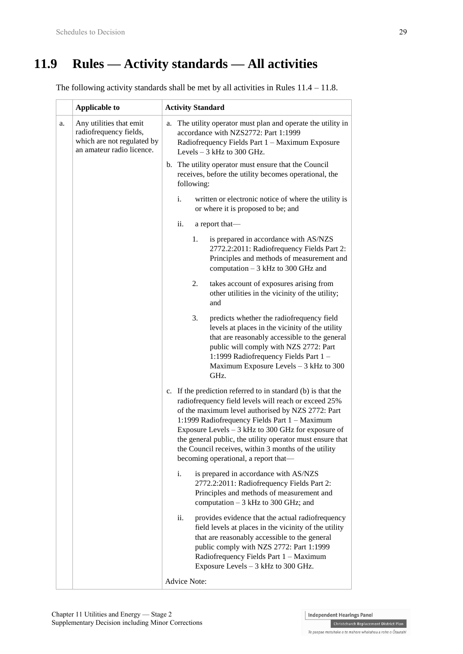# **11.9 Rules — Activity standards — All activities**

The following activity standards shall be met by all activities in Rules 11.4 – 11.8.

|    | <b>Applicable to</b>                                                                                         | <b>Activity Standard</b>                                                                                                                                                                                                                                                                                                                                                                                                                       |
|----|--------------------------------------------------------------------------------------------------------------|------------------------------------------------------------------------------------------------------------------------------------------------------------------------------------------------------------------------------------------------------------------------------------------------------------------------------------------------------------------------------------------------------------------------------------------------|
| a. | Any utilities that emit<br>radiofrequency fields,<br>which are not regulated by<br>an amateur radio licence. | The utility operator must plan and operate the utility in<br>a.<br>accordance with NZS2772: Part 1:1999<br>Radiofrequency Fields Part 1 - Maximum Exposure<br>Levels $-3$ kHz to 300 GHz.                                                                                                                                                                                                                                                      |
|    |                                                                                                              | b. The utility operator must ensure that the Council<br>receives, before the utility becomes operational, the<br>following:                                                                                                                                                                                                                                                                                                                    |
|    |                                                                                                              | i.<br>written or electronic notice of where the utility is<br>or where it is proposed to be; and                                                                                                                                                                                                                                                                                                                                               |
|    |                                                                                                              | ii.<br>a report that-                                                                                                                                                                                                                                                                                                                                                                                                                          |
|    |                                                                                                              | is prepared in accordance with AS/NZS<br>1.<br>2772.2:2011: Radiofrequency Fields Part 2:<br>Principles and methods of measurement and<br>computation - 3 kHz to 300 GHz and                                                                                                                                                                                                                                                                   |
|    |                                                                                                              | 2.<br>takes account of exposures arising from<br>other utilities in the vicinity of the utility;<br>and                                                                                                                                                                                                                                                                                                                                        |
|    |                                                                                                              | 3.<br>predicts whether the radiofrequency field<br>levels at places in the vicinity of the utility<br>that are reasonably accessible to the general<br>public will comply with NZS 2772: Part<br>1:1999 Radiofrequency Fields Part 1-<br>Maximum Exposure Levels - 3 kHz to 300<br>GHz.                                                                                                                                                        |
|    |                                                                                                              | c. If the prediction referred to in standard (b) is that the<br>radiofrequency field levels will reach or exceed 25%<br>of the maximum level authorised by NZS 2772: Part<br>1:1999 Radiofrequency Fields Part 1 - Maximum<br>Exposure Levels $-3$ kHz to 300 GHz for exposure of<br>the general public, the utility operator must ensure that<br>the Council receives, within 3 months of the utility<br>becoming operational, a report that— |
|    |                                                                                                              | i.<br>is prepared in accordance with AS/NZS<br>2772.2:2011: Radiofrequency Fields Part 2:<br>Principles and methods of measurement and<br>computation $-3$ kHz to 300 GHz; and                                                                                                                                                                                                                                                                 |
|    |                                                                                                              | ii.<br>provides evidence that the actual radiofrequency<br>field levels at places in the vicinity of the utility<br>that are reasonably accessible to the general<br>public comply with NZS 2772: Part 1:1999<br>Radiofrequency Fields Part 1 - Maximum<br>Exposure Levels $-3$ kHz to 300 GHz.                                                                                                                                                |
|    |                                                                                                              | <b>Advice Note:</b>                                                                                                                                                                                                                                                                                                                                                                                                                            |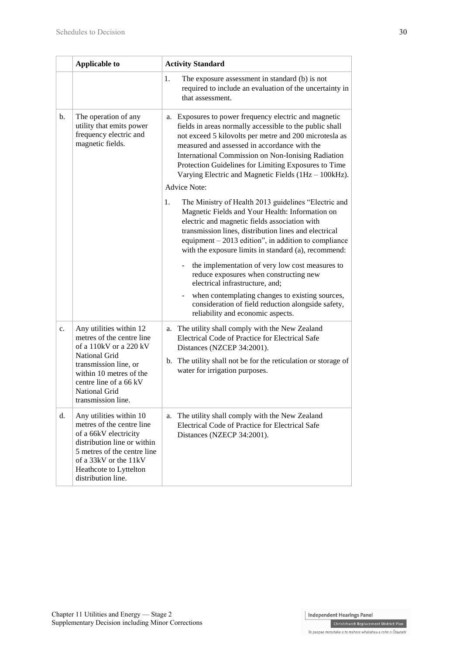|    | <b>Applicable to</b>                                                                                                                                                                                                 | <b>Activity Standard</b>                                                                                                                                                                                                                                                                                                                                                                                                |
|----|----------------------------------------------------------------------------------------------------------------------------------------------------------------------------------------------------------------------|-------------------------------------------------------------------------------------------------------------------------------------------------------------------------------------------------------------------------------------------------------------------------------------------------------------------------------------------------------------------------------------------------------------------------|
|    |                                                                                                                                                                                                                      | 1.<br>The exposure assessment in standard (b) is not<br>required to include an evaluation of the uncertainty in<br>that assessment.                                                                                                                                                                                                                                                                                     |
| b. | The operation of any<br>utility that emits power<br>frequency electric and<br>magnetic fields.                                                                                                                       | a. Exposures to power frequency electric and magnetic<br>fields in areas normally accessible to the public shall<br>not exceed 5 kilovolts per metre and 200 microtesla as<br>measured and assessed in accordance with the<br>International Commission on Non-Ionising Radiation<br>Protection Guidelines for Limiting Exposures to Time<br>Varying Electric and Magnetic Fields (1Hz - 100kHz).<br><b>Advice Note:</b> |
|    |                                                                                                                                                                                                                      |                                                                                                                                                                                                                                                                                                                                                                                                                         |
|    |                                                                                                                                                                                                                      | The Ministry of Health 2013 guidelines "Electric and<br>1.<br>Magnetic Fields and Your Health: Information on<br>electric and magnetic fields association with<br>transmission lines, distribution lines and electrical<br>equipment $-2013$ edition", in addition to compliance<br>with the exposure limits in standard (a), recommend:                                                                                |
|    |                                                                                                                                                                                                                      | the implementation of very low cost measures to<br>reduce exposures when constructing new<br>electrical infrastructure, and;                                                                                                                                                                                                                                                                                            |
|    |                                                                                                                                                                                                                      | when contemplating changes to existing sources,<br>consideration of field reduction alongside safety,<br>reliability and economic aspects.                                                                                                                                                                                                                                                                              |
| c. | Any utilities within 12<br>metres of the centre line<br>of a 110kV or a 220 kV                                                                                                                                       | The utility shall comply with the New Zealand<br>а.<br>Electrical Code of Practice for Electrical Safe<br>Distances (NZCEP 34:2001).                                                                                                                                                                                                                                                                                    |
|    | National Grid<br>transmission line, or<br>within 10 metres of the<br>centre line of a 66 kV<br><b>National Grid</b><br>transmission line.                                                                            | b. The utility shall not be for the reticulation or storage of<br>water for irrigation purposes.                                                                                                                                                                                                                                                                                                                        |
| d. | Any utilities within 10<br>metres of the centre line<br>of a 66kV electricity<br>distribution line or within<br>5 metres of the centre line<br>of a 33kV or the 11kV<br>Heathcote to Lyttelton<br>distribution line. | The utility shall comply with the New Zealand<br>a.<br>Electrical Code of Practice for Electrical Safe<br>Distances (NZECP 34:2001).                                                                                                                                                                                                                                                                                    |

**Christchurch Replacement District Plan** Te paepae motuhake o te mahere whakahou a rohe o Ōtautahi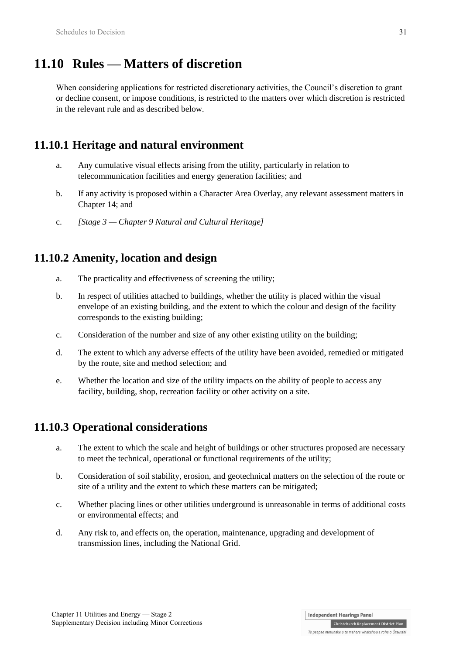# **11.10 Rules — Matters of discretion**

When considering applications for restricted discretionary activities, the Council's discretion to grant or decline consent, or impose conditions, is restricted to the matters over which discretion is restricted in the relevant rule and as described below.

## **11.10.1 Heritage and natural environment**

- a. Any cumulative visual effects arising from the utility, particularly in relation to telecommunication facilities and energy generation facilities; and
- b. If any activity is proposed within a Character Area Overlay, any relevant assessment matters in Chapter 14; and
- c. *[Stage 3 — Chapter 9 Natural and Cultural Heritage]*

## **11.10.2 Amenity, location and design**

- a. The practicality and effectiveness of screening the utility;
- b. In respect of utilities attached to buildings, whether the utility is placed within the visual envelope of an existing building, and the extent to which the colour and design of the facility corresponds to the existing building;
- c. Consideration of the number and size of any other existing utility on the building;
- d. The extent to which any adverse effects of the utility have been avoided, remedied or mitigated by the route, site and method selection; and
- e. Whether the location and size of the utility impacts on the ability of people to access any facility, building, shop, recreation facility or other activity on a site.

## **11.10.3 Operational considerations**

- a. The extent to which the scale and height of buildings or other structures proposed are necessary to meet the technical, operational or functional requirements of the utility;
- b. Consideration of soil stability, erosion, and geotechnical matters on the selection of the route or site of a utility and the extent to which these matters can be mitigated;
- c. Whether placing lines or other utilities underground is unreasonable in terms of additional costs or environmental effects; and
- d. Any risk to, and effects on, the operation, maintenance, upgrading and development of transmission lines, including the National Grid.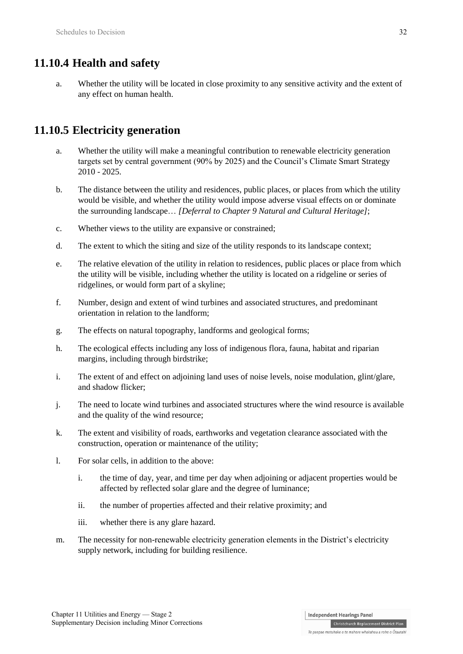## **11.10.4 Health and safety**

a. Whether the utility will be located in close proximity to any sensitive activity and the extent of any effect on human health.

## **11.10.5 Electricity generation**

- a. Whether the utility will make a meaningful contribution to renewable electricity generation targets set by central government (90% by 2025) and the Council's Climate Smart Strategy 2010 - 2025.
- b. The distance between the utility and residences, public places, or places from which the utility would be visible, and whether the utility would impose adverse visual effects on or dominate the surrounding landscape… *[Deferral to Chapter 9 Natural and Cultural Heritage]*;
- c. Whether views to the utility are expansive or constrained;
- d. The extent to which the siting and size of the utility responds to its landscape context;
- e. The relative elevation of the utility in relation to residences, public places or place from which the utility will be visible, including whether the utility is located on a ridgeline or series of ridgelines, or would form part of a skyline;
- f. Number, design and extent of wind turbines and associated structures, and predominant orientation in relation to the landform;
- g. The effects on natural topography, landforms and geological forms;
- h. The ecological effects including any loss of indigenous flora, fauna, habitat and riparian margins, including through birdstrike;
- i. The extent of and effect on adjoining land uses of noise levels, noise modulation, glint/glare, and shadow flicker;
- j. The need to locate wind turbines and associated structures where the wind resource is available and the quality of the wind resource;
- k. The extent and visibility of roads, earthworks and vegetation clearance associated with the construction, operation or maintenance of the utility;
- l. For solar cells, in addition to the above:
	- i. the time of day, year, and time per day when adjoining or adjacent properties would be affected by reflected solar glare and the degree of luminance;
	- ii. the number of properties affected and their relative proximity; and
	- iii. whether there is any glare hazard.
- m. The necessity for non-renewable electricity generation elements in the District's electricity supply network, including for building resilience.

**Independent Hearings Panel** 

Christchurch Replacement District Plan Te paepae motuhake o te mahere whakahou a rohe o Ōtautahi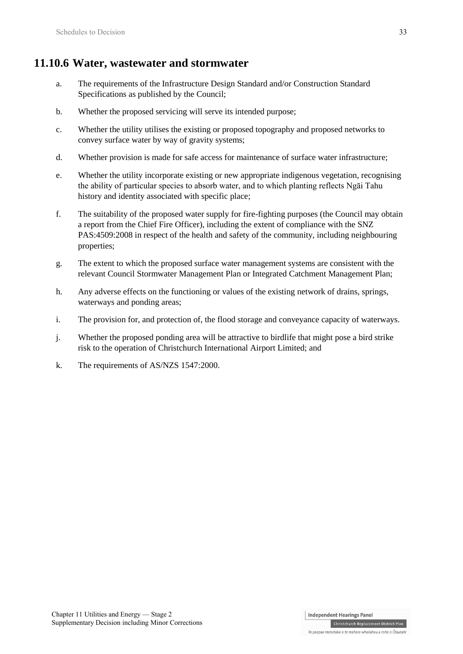## **11.10.6 Water, wastewater and stormwater**

- a. The requirements of the Infrastructure Design Standard and/or Construction Standard Specifications as published by the Council;
- b. Whether the proposed servicing will serve its intended purpose;
- c. Whether the utility utilises the existing or proposed topography and proposed networks to convey surface water by way of gravity systems;
- d. Whether provision is made for safe access for maintenance of surface water infrastructure;
- e. Whether the utility incorporate existing or new appropriate indigenous vegetation, recognising the ability of particular species to absorb water, and to which planting reflects Ngāi Tahu history and identity associated with specific place;
- f. The suitability of the proposed water supply for fire-fighting purposes (the Council may obtain a report from the Chief Fire Officer), including the extent of compliance with the SNZ PAS:4509:2008 in respect of the health and safety of the community, including neighbouring properties;
- g. The extent to which the proposed surface water management systems are consistent with the relevant Council Stormwater Management Plan or Integrated Catchment Management Plan;
- h. Any adverse effects on the functioning or values of the existing network of drains, springs, waterways and ponding areas;
- i. The provision for, and protection of, the flood storage and conveyance capacity of waterways.
- j. Whether the proposed ponding area will be attractive to birdlife that might pose a bird strike risk to the operation of Christchurch International Airport Limited; and
- k. The requirements of AS/NZS 1547:2000.